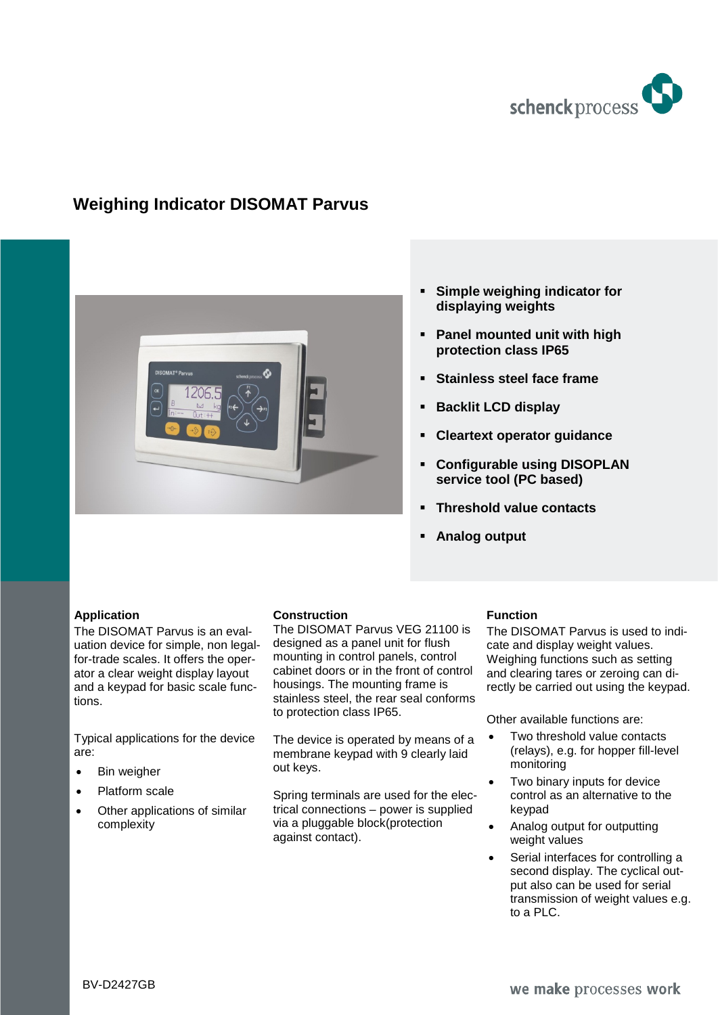

# **Weighing Indicator DISOMAT Parvus**



## **Simple weighing indicator for displaying weights**

- **Panel mounted unit with high protection class IP65**
- **Stainless steel face frame**
- **Backlit LCD display**
- **Cleartext operator guidance**
- **Configurable using DISOPLAN service tool (PC based)**
- **Threshold value contacts**
- **Analog output**

#### **Application**

The DISOMAT Parvus is an evaluation device for simple, non legalfor-trade scales. It offers the operator a clear weight display layout and a keypad for basic scale functions.

Typical applications for the device are:

- Bin weigher
- Platform scale
- Other applications of similar complexity

#### **Construction**

The DISOMAT Parvus VEG 21100 is designed as a panel unit for flush mounting in control panels, control cabinet doors or in the front of control housings. The mounting frame is stainless steel, the rear seal conforms to protection class IP65.

The device is operated by means of a membrane keypad with 9 clearly laid out keys.

Spring terminals are used for the electrical connections – power is supplied via a pluggable block(protection against contact).

## **Function**

The DISOMAT Parvus is used to indicate and display weight values. Weighing functions such as setting and clearing tares or zeroing can directly be carried out using the keypad.

Other available functions are:

- Two threshold value contacts (relays), e.g. for hopper fill-level monitoring
- Two binary inputs for device control as an alternative to the keypad
- Analog output for outputting weight values
- Serial interfaces for controlling a second display. The cyclical output also can be used for serial transmission of weight values e.g. to a PLC.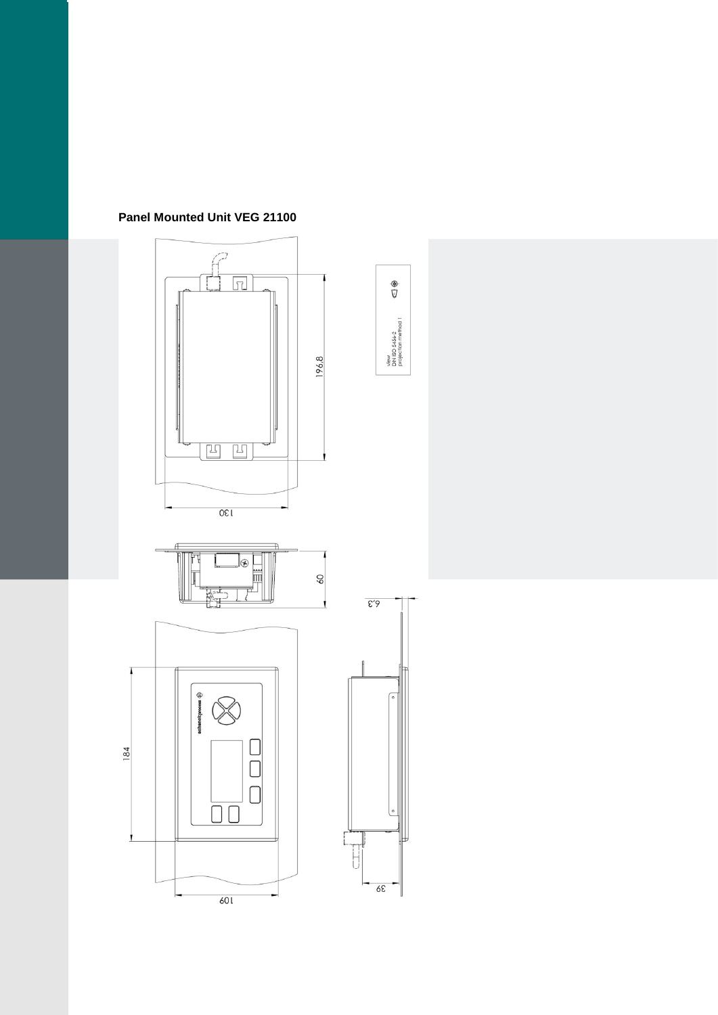

**Panel Mounted Unit VEG 21100**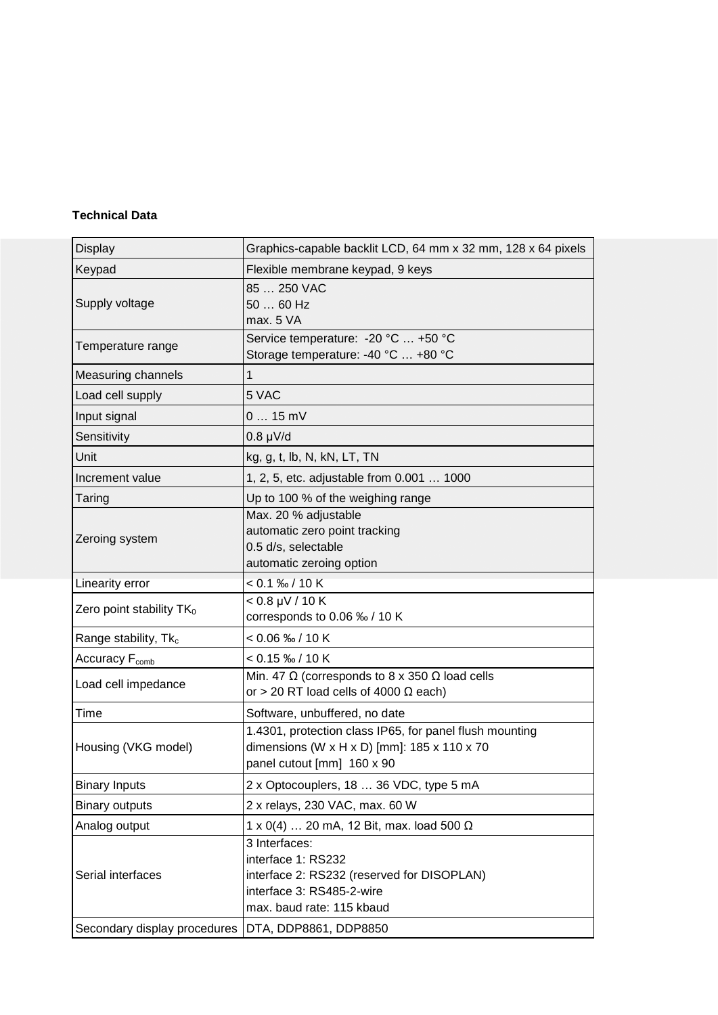#### **Technical Data**

| <b>Display</b>                                     | Graphics-capable backlit LCD, 64 mm x 32 mm, 128 x 64 pixels                                                                                |
|----------------------------------------------------|---------------------------------------------------------------------------------------------------------------------------------------------|
| Keypad                                             | Flexible membrane keypad, 9 keys                                                                                                            |
| Supply voltage                                     | 85  250 VAC<br>50  60 Hz<br>max. 5 VA                                                                                                       |
| Temperature range                                  | Service temperature: - 20 °C  +50 °C<br>Storage temperature: -40 °C  +80 °C                                                                 |
| Measuring channels                                 | 1                                                                                                                                           |
| Load cell supply                                   | 5 VAC                                                                                                                                       |
| Input signal                                       | $015$ mV                                                                                                                                    |
| Sensitivity                                        | $0.8 \mu V/d$                                                                                                                               |
| Unit                                               | kg, g, t, lb, N, kN, LT, TN                                                                                                                 |
| Increment value                                    | 1, 2, 5, etc. adjustable from 0.001  1000                                                                                                   |
| Taring                                             | Up to 100 % of the weighing range                                                                                                           |
| Zeroing system                                     | Max. 20 % adjustable<br>automatic zero point tracking<br>0.5 d/s, selectable<br>automatic zeroing option                                    |
| Linearity error                                    | $< 0.1 %$ <sub>0</sub> /10 K                                                                                                                |
| Zero point stability $TK_0$                        | $< 0.8 \mu V / 10 K$<br>corresponds to 0.06 ‰ / 10 K                                                                                        |
| Range stability, Tk <sub>c</sub>                   | $< 0.06$ ‰ / 10 K                                                                                                                           |
| Accuracy F <sub>comb</sub>                         | $< 0.15$ ‰ / 10 K                                                                                                                           |
| Load cell impedance                                | Min. 47 $\Omega$ (corresponds to 8 x 350 $\Omega$ load cells<br>or > 20 RT load cells of 4000 $\Omega$ each)                                |
| Time                                               | Software, unbuffered, no date                                                                                                               |
| Housing (VKG model)                                | 1.4301, protection class IP65, for panel flush mounting<br>dimensions (W x H x D) [mm]: 185 x 110 x 70<br>panel cutout [mm] 160 x 90        |
| <b>Binary Inputs</b>                               | 2 x Optocouplers, 18  36 VDC, type 5 mA                                                                                                     |
| <b>Binary outputs</b>                              | 2 x relays, 230 VAC, max. 60 W                                                                                                              |
| Analog output                                      | 1 x 0(4)  20 mA, 12 Bit, max. load 500 $\Omega$                                                                                             |
| Serial interfaces                                  | 3 Interfaces:<br>interface 1: RS232<br>interface 2: RS232 (reserved for DISOPLAN)<br>interface 3: RS485-2-wire<br>max. baud rate: 115 kbaud |
| Secondary display procedures DTA, DDP8861, DDP8850 |                                                                                                                                             |